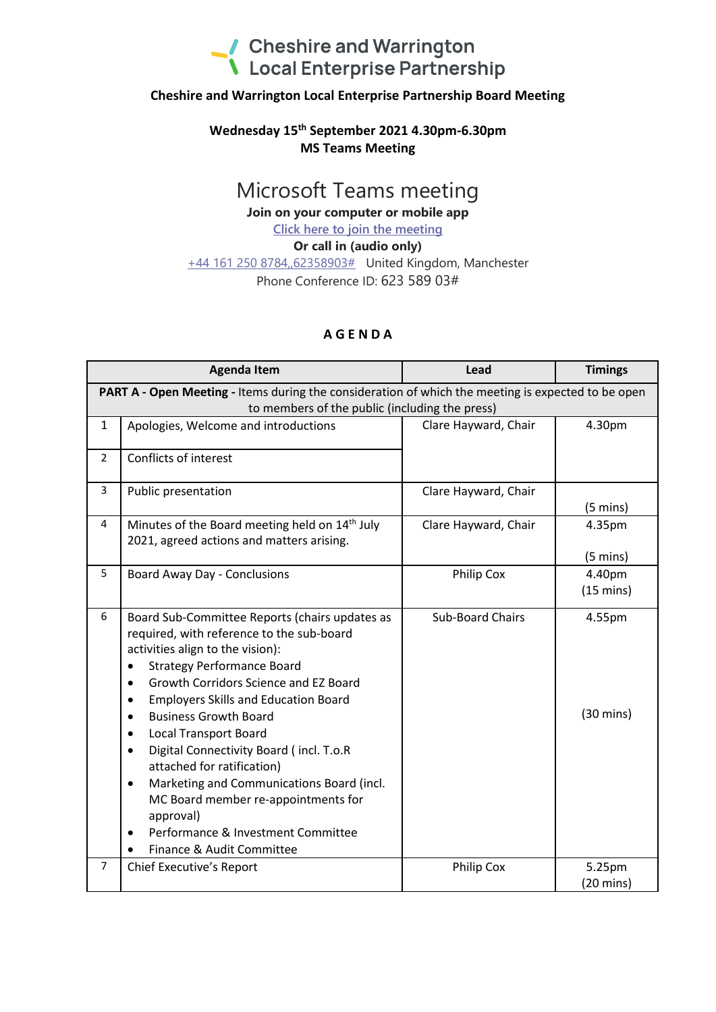

## **Cheshire and Warrington Local Enterprise Partnership Board Meeting**

## **Wednesday 15 th September 2021 4.30pm-6.30pm MS Teams Meeting**

## Microsoft Teams meeting

**Join on your computer or mobile app**

**Click here to join the meeting**

**Or call in (audio only)**

+44 161 250 8784,,62358903# United Kingdom, Manchester Phone Conference ID: 623 589 03#

## **A G E N D A**

| <b>Agenda Item</b>                                                                                                                                   |                                                                                                                                                                                                                                                                                                                                                                                                                                                                                                                                                                                                                                                 | Lead                    | <b>Timings</b>                |  |
|------------------------------------------------------------------------------------------------------------------------------------------------------|-------------------------------------------------------------------------------------------------------------------------------------------------------------------------------------------------------------------------------------------------------------------------------------------------------------------------------------------------------------------------------------------------------------------------------------------------------------------------------------------------------------------------------------------------------------------------------------------------------------------------------------------------|-------------------------|-------------------------------|--|
| PART A - Open Meeting - Items during the consideration of which the meeting is expected to be open<br>to members of the public (including the press) |                                                                                                                                                                                                                                                                                                                                                                                                                                                                                                                                                                                                                                                 |                         |                               |  |
| $\mathbf{1}$                                                                                                                                         | Apologies, Welcome and introductions                                                                                                                                                                                                                                                                                                                                                                                                                                                                                                                                                                                                            | Clare Hayward, Chair    | 4.30pm                        |  |
| $\overline{2}$                                                                                                                                       | Conflicts of interest                                                                                                                                                                                                                                                                                                                                                                                                                                                                                                                                                                                                                           |                         |                               |  |
| 3                                                                                                                                                    | Public presentation                                                                                                                                                                                                                                                                                                                                                                                                                                                                                                                                                                                                                             | Clare Hayward, Chair    | $(5 \text{ mins})$            |  |
| 4                                                                                                                                                    | Minutes of the Board meeting held on 14 <sup>th</sup> July<br>2021, agreed actions and matters arising.                                                                                                                                                                                                                                                                                                                                                                                                                                                                                                                                         | Clare Hayward, Chair    | 4.35pm<br>$(5 \text{ mins})$  |  |
| 5                                                                                                                                                    | <b>Board Away Day - Conclusions</b>                                                                                                                                                                                                                                                                                                                                                                                                                                                                                                                                                                                                             | <b>Philip Cox</b>       | 4.40pm<br>$(15 \text{ mins})$ |  |
| 6                                                                                                                                                    | Board Sub-Committee Reports (chairs updates as<br>required, with reference to the sub-board<br>activities align to the vision):<br><b>Strategy Performance Board</b><br>Growth Corridors Science and EZ Board<br>$\bullet$<br><b>Employers Skills and Education Board</b><br>$\bullet$<br><b>Business Growth Board</b><br>$\bullet$<br><b>Local Transport Board</b><br>٠<br>Digital Connectivity Board (incl. T.o.R<br>$\bullet$<br>attached for ratification)<br>Marketing and Communications Board (incl.<br>$\bullet$<br>MC Board member re-appointments for<br>approval)<br>Performance & Investment Committee<br>Finance & Audit Committee | <b>Sub-Board Chairs</b> | 4.55pm<br>$(30 \text{ mins})$ |  |
| 7                                                                                                                                                    | Chief Executive's Report                                                                                                                                                                                                                                                                                                                                                                                                                                                                                                                                                                                                                        | <b>Philip Cox</b>       | 5.25pm<br>$(20 \text{ mins})$ |  |